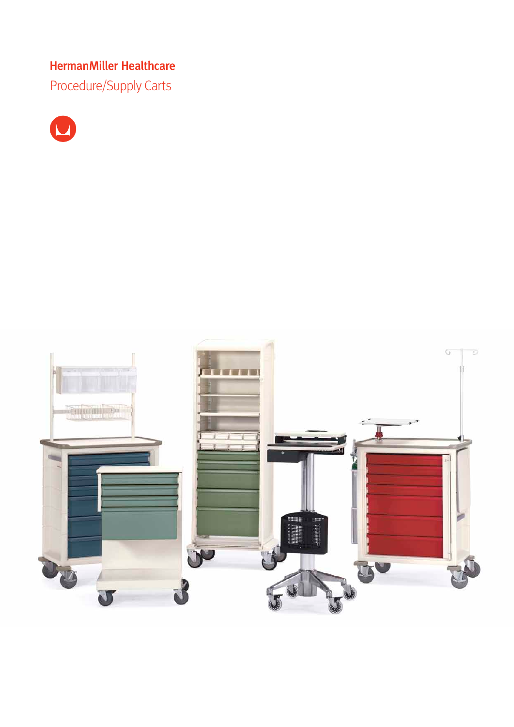Procedure/Supply Carts



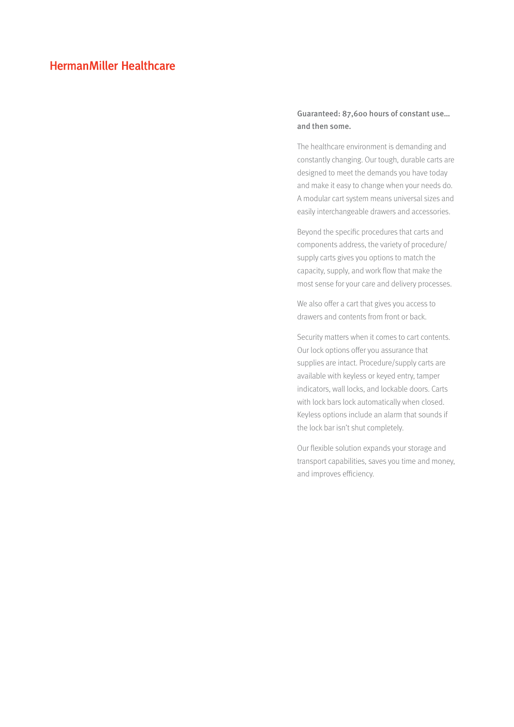# Guaranteed: 87,600 hours of constant use… and then some.

The healthcare environment is demanding and constantly changing. Our tough, durable carts are designed to meet the demands you have today and make it easy to change when your needs do. A modular cart system means universal sizes and easily interchangeable drawers and accessories.

Beyond the specific procedures that carts and components address, the variety of procedure/ supply carts gives you options to match the capacity, supply, and work flow that make the most sense for your care and delivery processes.

We also offer a cart that gives you access to drawers and contents from front or back.

Security matters when it comes to cart contents. Our lock options offer you assurance that supplies are intact. Procedure/supply carts are available with keyless or keyed entry, tamper indicators, wall locks, and lockable doors. Carts with lock bars lock automatically when closed. Keyless options include an alarm that sounds if the lock bar isn't shut completely.

Our flexible solution expands your storage and transport capabilities, saves you time and money, and improves efficiency.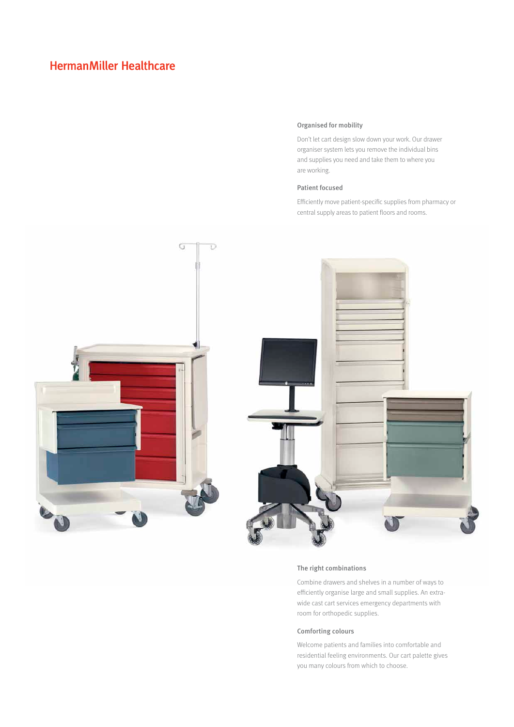### Organised for mobility

Don't let cart design slow down your work. Our drawer organiser system lets you remove the individual bins and supplies you need and take them to where you are working.

#### Patient focused

Efficiently move patient-specific supplies from pharmacy or central supply areas to patient floors and rooms.



#### The right combinations

Combine drawers and shelves in a number of ways to efficiently organise large and small supplies. An extrawide cast cart services emergency departments with room for orthopedic supplies.

### Comforting colours

Welcome patients and families into comfortable and residential feeling environments. Our cart palette gives you many colours from which to choose.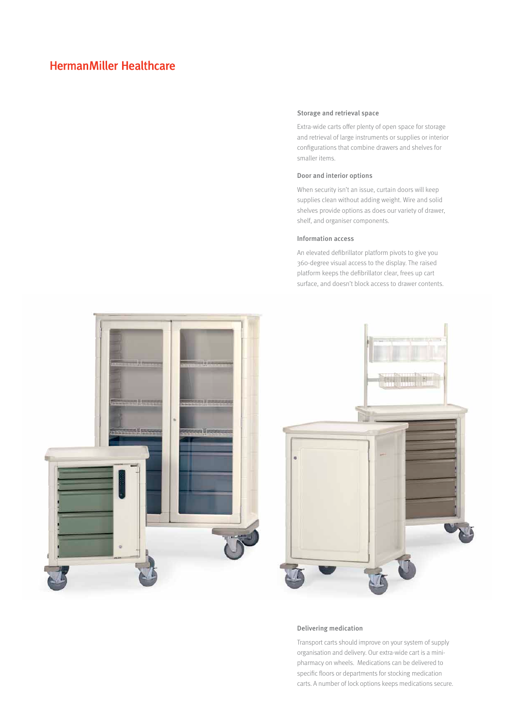#### Storage and retrieval space

Extra-wide carts offer plenty of open space for storage and retrieval of large instruments or supplies or interior configurations that combine drawers and shelves for smaller items.

#### Door and interior options

When security isn't an issue, curtain doors will keep supplies clean without adding weight. Wire and solid shelves provide options as does our variety of drawer, shelf, and organiser components.

#### Information access

An elevated defibrillator platform pivots to give you 360-degree visual access to the display. The raised platform keeps the defibrillator clear, frees up cart surface, and doesn't block access to drawer contents.



#### Delivering medication

Transport carts should improve on your system of supply organisation and delivery. Our extra-wide cart is a minipharmacy on wheels. Medications can be delivered to specific floors or departments for stocking medication carts. A number of lock options keeps medications secure.